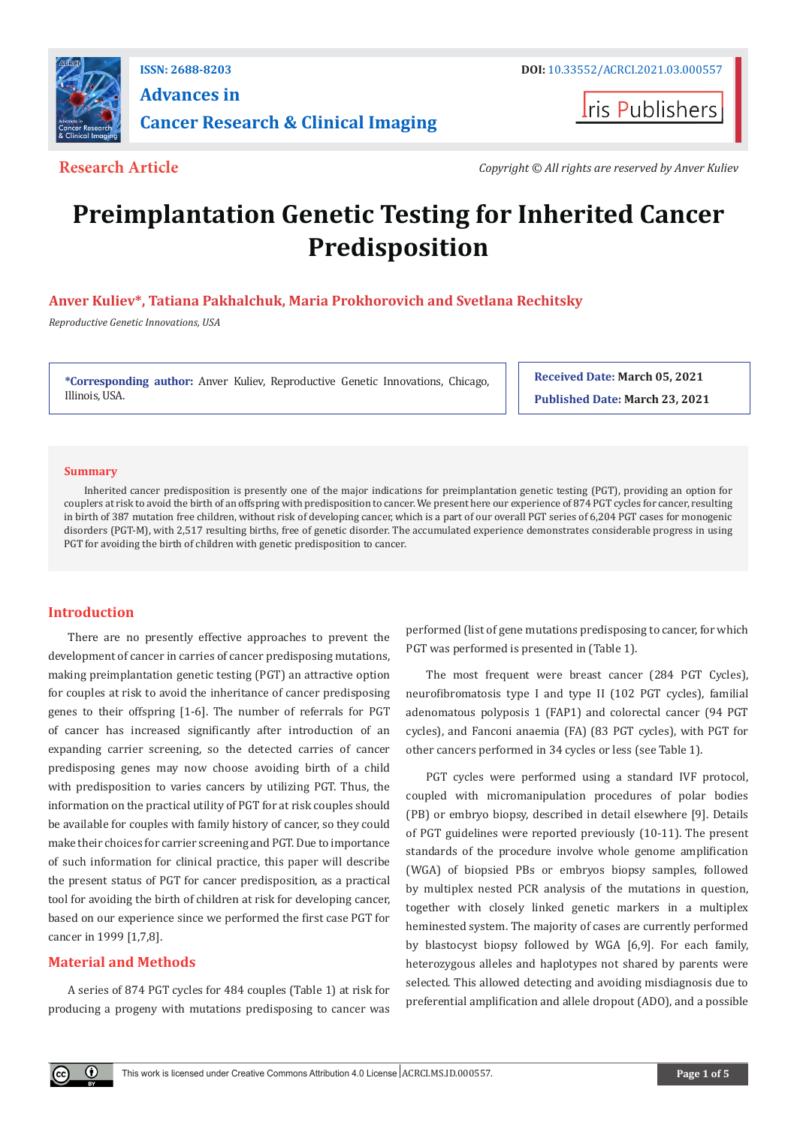

# **Advances in Cancer Research & Clinical Imaging**

**I**ris Publishers

**Research Article** *Copyright © All rights are reserved by Anver Kuliev*

# **Preimplantation Genetic Testing for Inherited Cancer Predisposition**

## **Anver Kuliev\*, Tatiana Pakhalchuk, Maria Prokhorovich and Svetlana Rechitsky**

*Reproductive Genetic Innovations, USA*

**\*Corresponding author:** Anver Kuliev, Reproductive Genetic Innovations, Chicago, Illinois, USA.

**Received Date: March 05, 2021 Published Date: March 23, 2021**

#### **Summary**

Inherited cancer predisposition is presently one of the major indications for preimplantation genetic testing (PGT), providing an option for couplers at risk to avoid the birth of an offspring with predisposition to cancer. We present here our experience of 874 PGT cycles for cancer, resulting in birth of 387 mutation free children, without risk of developing cancer, which is a part of our overall PGT series of 6,204 PGT cases for monogenic disorders (PGT-M), with 2,517 resulting births, free of genetic disorder. The accumulated experience demonstrates considerable progress in using PGT for avoiding the birth of children with genetic predisposition to cancer.

### **Introduction**

There are no presently effective approaches to prevent the development of cancer in carries of cancer predisposing mutations, making preimplantation genetic testing (PGT) an attractive option for couples at risk to avoid the inheritance of cancer predisposing genes to their offspring [1-6]. The number of referrals for PGT of cancer has increased significantly after introduction of an expanding carrier screening, so the detected carries of cancer predisposing genes may now choose avoiding birth of a child with predisposition to varies cancers by utilizing PGT. Thus, the information on the practical utility of PGT for at risk couples should be available for couples with family history of cancer, so they could make their choices for carrier screening and PGT. Due to importance of such information for clinical practice, this paper will describe the present status of PGT for cancer predisposition, as a practical tool for avoiding the birth of children at risk for developing cancer, based on our experience since we performed the first case PGT for cancer in 1999 [1,7,8].

### **Material and Methods**

 $^\copyright$ 

A series of 874 PGT cycles for 484 couples (Table 1) at risk for producing a progeny with mutations predisposing to cancer was

performed (list of gene mutations predisposing to cancer, for which PGT was performed is presented in (Table 1).

The most frequent were breast cancer (284 PGT Cycles), neurofibromatosis type I and type II (102 PGT cycles), familial adenomatous polyposis 1 (FAP1) and colorectal cancer (94 PGT cycles), and Fanconi anaemia (FA) (83 PGT cycles), with PGT for other cancers performed in 34 cycles or less (see Table 1).

PGT cycles were performed using a standard IVF protocol, coupled with micromanipulation procedures of polar bodies (PB) or embryo biopsy, described in detail elsewhere [9]. Details of PGT guidelines were reported previously (10-11). The present standards of the procedure involve whole genome amplification (WGA) of biopsied PBs or embryos biopsy samples, followed by multiplex nested PCR analysis of the mutations in question, together with closely linked genetic markers in a multiplex heminested system. The majority of cases are currently performed by blastocyst biopsy followed by WGA [6,9]. For each family, heterozygous alleles and haplotypes not shared by parents were selected. This allowed detecting and avoiding misdiagnosis due to preferential amplification and allele dropout (ADO), and a possible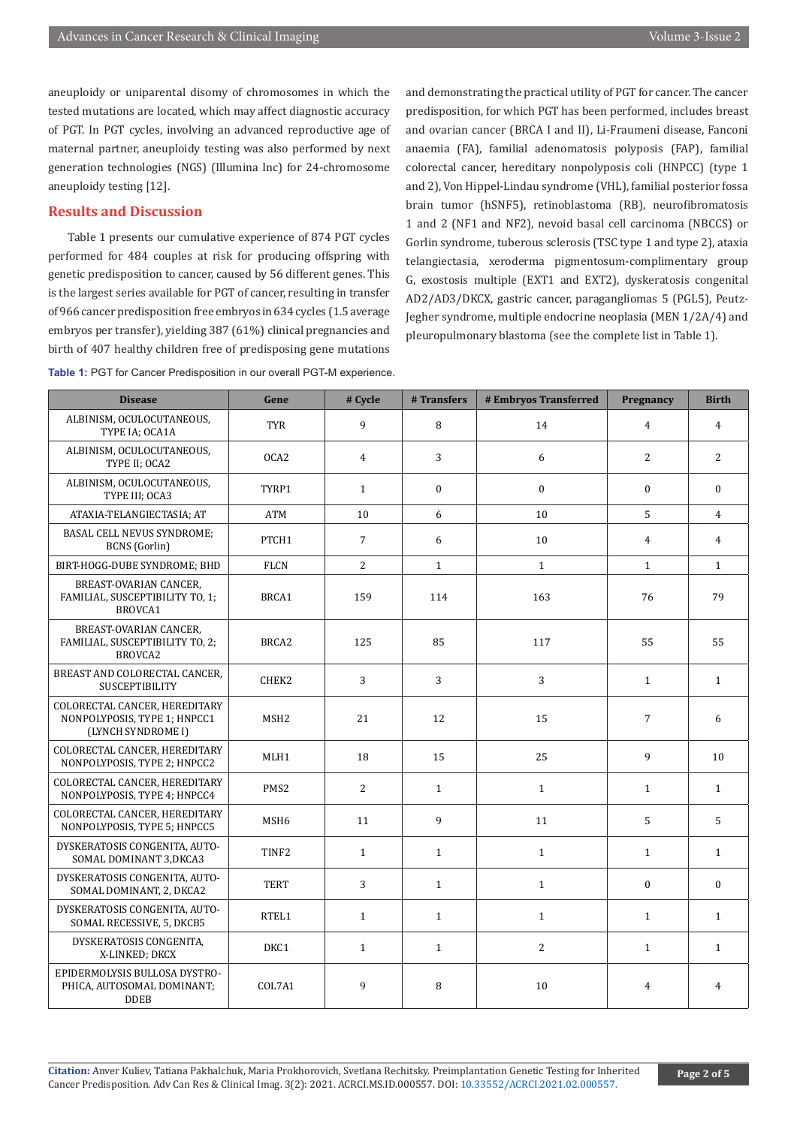aneuploidy or uniparental disomy of chromosomes in which the tested mutations are located, which may affect diagnostic accuracy of PGT. In PGT cycles, involving an advanced reproductive age of maternal partner, aneuploidy testing was also performed by next generation technologies (NGS) (Illumina Inc) for 24-chromosome aneuploidy testing [12].

#### **Results and Discussion**

Table 1 presents our cumulative experience of 874 PGT cycles performed for 484 couples at risk for producing offspring with genetic predisposition to cancer, caused by 56 different genes. This is the largest series available for PGT of cancer, resulting in transfer of 966 cancer predisposition free embryos in 634 cycles (1.5 average embryos per transfer), yielding 387 (61%) clinical pregnancies and birth of 407 healthy children free of predisposing gene mutations

and demonstrating the practical utility of PGT for cancer. The cancer predisposition, for which PGT has been performed, includes breast and ovarian cancer (BRCA I and II), Li-Fraumeni disease, Fanconi anaemia (FA), familial adenomatosis polyposis (FAP), familial colorectal cancer, hereditary nonpolyposis coli (HNPCC) (type 1 and 2), Von Hippel-Lindau syndrome (VHL), familial posterior fossa brain tumor (hSNF5), retinoblastoma (RB), neurofibromatosis 1 and 2 (NF1 and NF2), nevoid basal cell carcinoma (NBCCS) or Gorlin syndrome, tuberous sclerosis (TSC type 1 and type 2), ataxia telangiectasia, xeroderma pigmentosum-complimentary group G, exostosis multiple (EXT1 and EXT2), dyskeratosis congenital AD2/AD3/DKCX, gastric cancer, paragangliomas 5 (PGL5), Peutz-Jegher syndrome, multiple endocrine neoplasia (MEN 1/2A/4) and pleuropulmonary blastoma (see the complete list in Table 1).

| <b>Disease</b>                                                                      | Gene              | # Cycle        | #Transfers   | # Embryos Transferred | Pregnancy        | <b>Birth</b>   |
|-------------------------------------------------------------------------------------|-------------------|----------------|--------------|-----------------------|------------------|----------------|
| ALBINISM, OCULOCUTANEOUS,<br>TYPE IA; OCA1A                                         | <b>TYR</b>        | 9              | 8            | 14                    | $\overline{4}$   | $\overline{4}$ |
| ALBINISM, OCULOCUTANEOUS,<br>TYPE II; OCA2                                          | OCA <sub>2</sub>  | $\overline{4}$ | 3            | 6                     | $\overline{2}$   | 2              |
| ALBINISM, OCULOCUTANEOUS,<br>TYPE III; OCA3                                         | TYRP1             | $\mathbf{1}$   | $\mathbf{0}$ | $\Omega$              | $\boldsymbol{0}$ | $\mathbf{0}$   |
| ATAXIA-TELANGIECTASIA; AT                                                           | ATM               | 10             | 6            | 10                    | 5                | 4              |
| <b>BASAL CELL NEVUS SYNDROME:</b><br><b>BCNS</b> (Gorlin)                           | PTCH1             | $\overline{7}$ | 6            | 10                    | 4                | $\overline{4}$ |
| BIRT-HOGG-DUBE SYNDROME; BHD                                                        | <b>FLCN</b>       | 2              | $\mathbf{1}$ | $\mathbf{1}$          | $\mathbf{1}$     | $\mathbf{1}$   |
| BREAST-OVARIAN CANCER,<br>FAMILIAL, SUSCEPTIBILITY TO, 1;<br>BROVCA1                | BRCA1             | 159            | 114          | 163                   | 76               | 79             |
| BREAST-OVARIAN CANCER,<br>FAMILIAL, SUSCEPTIBILITY TO, 2;<br>BROVCA2                | BRCA <sub>2</sub> | 125            | 85           | 117                   | 55               | 55             |
| BREAST AND COLORECTAL CANCER,<br>SUSCEPTIBILITY                                     | CHEK2             | 3              | 3            | 3                     | $\mathbf{1}$     | $\mathbf{1}$   |
| COLORECTAL CANCER, HEREDITARY<br>NONPOLYPOSIS, TYPE 1; HNPCC1<br>(LYNCH SYNDROME I) | MSH <sub>2</sub>  | 21             | 12           | 15                    | 7                | 6              |
| COLORECTAL CANCER, HEREDITARY<br>NONPOLYPOSIS, TYPE 2; HNPCC2                       | MLH1              | 18             | 15           | 25                    | 9                | 10             |
| COLORECTAL CANCER, HEREDITARY<br>NONPOLYPOSIS, TYPE 4; HNPCC4                       | PMS <sub>2</sub>  | 2              | $\mathbf{1}$ | $\mathbf{1}$          | $\mathbf{1}$     | $\mathbf{1}$   |
| COLORECTAL CANCER, HEREDITARY<br>NONPOLYPOSIS, TYPE 5; HNPCC5                       | MSH <sub>6</sub>  | 11             | 9            | 11                    | 5                | 5              |
| DYSKERATOSIS CONGENITA, AUTO-<br>SOMAL DOMINANT 3, DKCA3                            | TINF <sub>2</sub> | $\mathbf{1}$   | $\mathbf{1}$ | $\mathbf{1}$          | $\mathbf{1}$     | $\mathbf{1}$   |
| DYSKERATOSIS CONGENITA, AUTO-<br>SOMAL DOMINANT, 2, DKCA2                           | <b>TERT</b>       | $\overline{3}$ | $\mathbf{1}$ | $\mathbf{1}$          | $\boldsymbol{0}$ | $\mathbf{0}$   |
| DYSKERATOSIS CONGENITA, AUTO-<br>SOMAL RECESSIVE, 5, DKCB5                          | RTEL1             | $\mathbf{1}$   | $\mathbf{1}$ | $\mathbf{1}$          | $\mathbf{1}$     | $\mathbf{1}$   |
| DYSKERATOSIS CONGENITA,<br>X-LINKED; DKCX                                           | DKC1              | $\mathbf{1}$   | $\mathbf{1}$ | 2                     | $\mathbf{1}$     | $\mathbf{1}$   |
| EPIDERMOLYSIS BULLOSA DYSTRO-<br>PHICA, AUTOSOMAL DOMINANT;<br><b>DDEB</b>          | COL7A1            | 9              | 8            | 10                    | $\overline{4}$   | $\overline{4}$ |

**Table 1:** PGT for Cancer Predisposition in our overall PGT-M experience.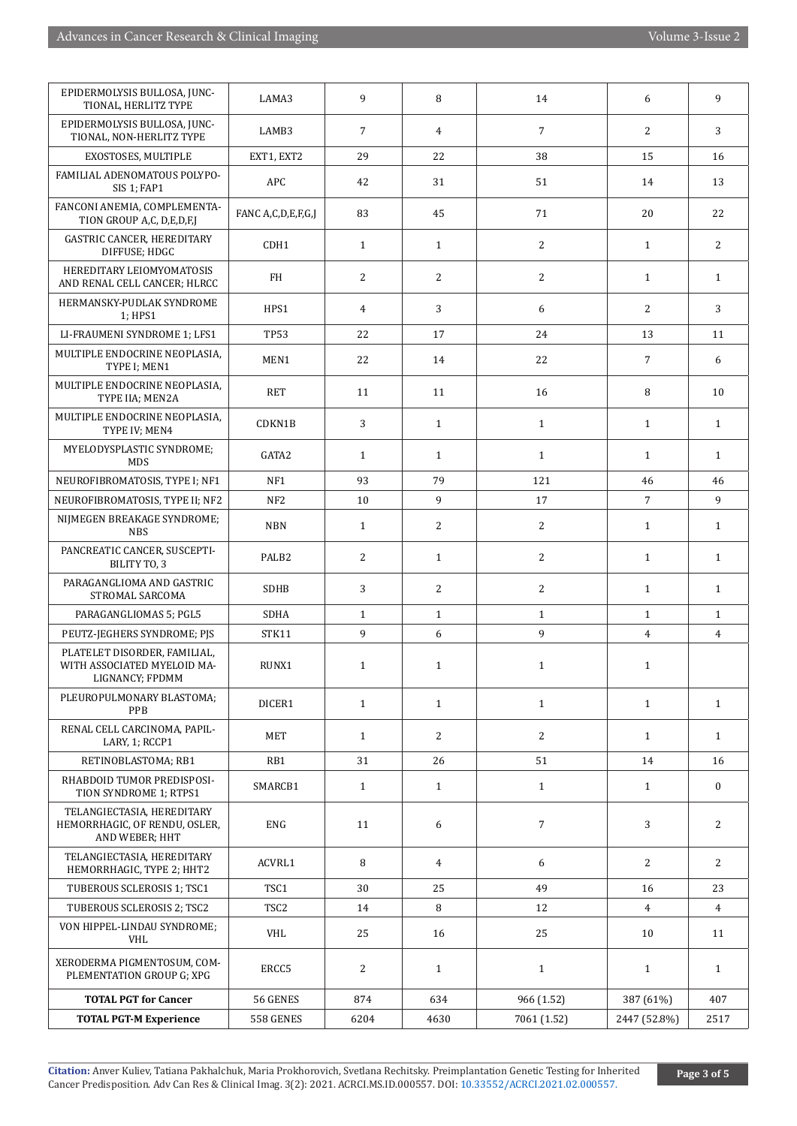| EPIDERMOLYSIS BULLOSA, JUNC-<br>TIONAL, HERLITZ TYPE                           | LAMA3              | 9              | 8              | 14             | 6              | 9                |
|--------------------------------------------------------------------------------|--------------------|----------------|----------------|----------------|----------------|------------------|
| EPIDERMOLYSIS BULLOSA, JUNC-<br>TIONAL, NON-HERLITZ TYPE                       | LAMB3              | $\overline{7}$ | $\overline{4}$ | $\overline{7}$ | 2              | 3                |
| EXOSTOSES, MULTIPLE                                                            | EXT1, EXT2         | 29             | 22             | 38             | 15             | 16               |
| FAMILIAL ADENOMATOUS POLYPO-<br>SIS 1; FAP1                                    | <b>APC</b>         | 42             | 31             | 51             | 14             | 13               |
| FANCONI ANEMIA, COMPLEMENTA-<br>TION GROUP A,C, D,E,D,F,J                      | FANC A,C,D,E,F,G,J | 83             | 45             | 71             | 20             | 22               |
| <b>GASTRIC CANCER, HEREDITARY</b><br>DIFFUSE; HDGC                             | CDH1               | $\mathbf{1}$   | $\mathbf{1}$   | 2              | $\mathbf{1}$   | 2                |
| HEREDITARY LEIOMYOMATOSIS<br>AND RENAL CELL CANCER; HLRCC                      | FH                 | 2              | 2              | 2              | $\mathbf{1}$   | $\mathbf{1}$     |
| HERMANSKY-PUDLAK SYNDROME<br>1; HPS1                                           | HPS1               | 4              | 3              | 6              | 2              | 3                |
| LI-FRAUMENI SYNDROME 1; LFS1                                                   | <b>TP53</b>        | 22             | 17             | 24             | 13             | 11               |
| MULTIPLE ENDOCRINE NEOPLASIA,<br>TYPE I; MEN1                                  | MEN1               | 22             | 14             | 22             | $\overline{7}$ | 6                |
| MULTIPLE ENDOCRINE NEOPLASIA.<br>TYPE IIA; MEN2A                               | RET                | 11             | 11             | 16             | 8              | 10               |
| MULTIPLE ENDOCRINE NEOPLASIA,<br>TYPE IV; MEN4                                 | CDKN1B             | 3              | $\mathbf{1}$   | $\mathbf{1}$   | $\mathbf{1}$   | $\mathbf{1}$     |
| MYELODYSPLASTIC SYNDROME;<br><b>MDS</b>                                        | GATA2              | $\mathbf{1}$   | $\mathbf{1}$   | $\mathbf{1}$   | $\mathbf{1}$   | $\mathbf{1}$     |
| NEUROFIBROMATOSIS, TYPE I; NF1                                                 | NF1                | 93             | 79             | 121            | 46             | 46               |
| NEUROFIBROMATOSIS, TYPE II; NF2                                                | NF <sub>2</sub>    | 10             | 9              | 17             | 7              | 9                |
| NIJMEGEN BREAKAGE SYNDROME;<br><b>NBS</b>                                      | <b>NBN</b>         | $\mathbf{1}$   | 2              | $\overline{c}$ | $\mathbf{1}$   | $\mathbf{1}$     |
| PANCREATIC CANCER, SUSCEPTI-<br>BILITY TO, 3                                   | PALB <sub>2</sub>  | 2              | $\mathbf{1}$   | 2              | $\mathbf{1}$   | $\mathbf{1}$     |
| PARAGANGLIOMA AND GASTRIC<br>STROMAL SARCOMA                                   | <b>SDHB</b>        | 3              | 2              | 2              | $\mathbf{1}$   | $\mathbf{1}$     |
| PARAGANGLIOMAS 5; PGL5                                                         | <b>SDHA</b>        | $\mathbf{1}$   | $\mathbf{1}$   | $\mathbf{1}$   | $\mathbf{1}$   | $\mathbf{1}$     |
| PEUTZ-JEGHERS SYNDROME; PJS                                                    | STK11              | 9              | 6              | 9              | $\overline{4}$ | $\overline{4}$   |
| PLATELET DISORDER, FAMILIAL,<br>WITH ASSOCIATED MYELOID MA-<br>LIGNANCY; FPDMM | RUNX1              | $\mathbf{1}$   | $\mathbf{1}$   | $\mathbf{1}$   | $\mathbf{1}$   |                  |
| PLEUROPULMONARY BLASTOMA;<br>PPB                                               | DICER1             | $\mathbf{1}$   | $\mathbf{1}$   | $\mathbf{1}$   | $\mathbf{1}$   | 1                |
| RENAL CELL CARCINOMA, PAPIL-<br>LARY, 1; RCCP1                                 | MET                | $\mathbf{1}$   | 2              | 2              | $\mathbf{1}$   | $\mathbf{1}$     |
| RETINOBLASTOMA; RB1                                                            | RB1                | 31             | 26             | 51             | 14             | 16               |
| RHABDOID TUMOR PREDISPOSI-<br>TION SYNDROME 1; RTPS1                           | SMARCB1            | $\mathbf{1}$   | $\mathbf{1}$   | $\mathbf{1}$   | $\mathbf{1}$   | $\boldsymbol{0}$ |
| TELANGIECTASIA, HEREDITARY<br>HEMORRHAGIC, OF RENDU, OSLER,<br>AND WEBER; HHT  | <b>ENG</b>         | 11             | 6              | $\overline{7}$ | 3              | $\overline{2}$   |
| TELANGIECTASIA, HEREDITARY<br>HEMORRHAGIC, TYPE 2; HHT2                        | ACVRL1             | 8              | $\overline{4}$ | 6              | 2              | 2                |
| TUBEROUS SCLEROSIS 1; TSC1                                                     | TSC1               | 30             | 25             | 49             | 16             | 23               |
| TUBEROUS SCLEROSIS 2; TSC2                                                     | TSC <sub>2</sub>   | 14             | 8              | 12             | $\overline{4}$ | 4                |
| VON HIPPEL-LINDAU SYNDROME;<br>VHL                                             | <b>VHL</b>         | 25             | 16             | 25             | 10             | 11               |
| XERODERMA PIGMENTOSUM, COM-<br>PLEMENTATION GROUP G; XPG                       | ERCC5              | 2              | $\mathbf{1}$   | $\mathbf{1}$   | $\mathbf{1}$   | $\mathbf{1}$     |
| <b>TOTAL PGT for Cancer</b>                                                    | 56 GENES           | 874            | 634            | 966 (1.52)     | 387 (61%)      | 407              |
| <b>TOTAL PGT-M Experience</b>                                                  | 558 GENES          | 6204           | 4630           | 7061 (1.52)    | 2447 (52.8%)   | 2517             |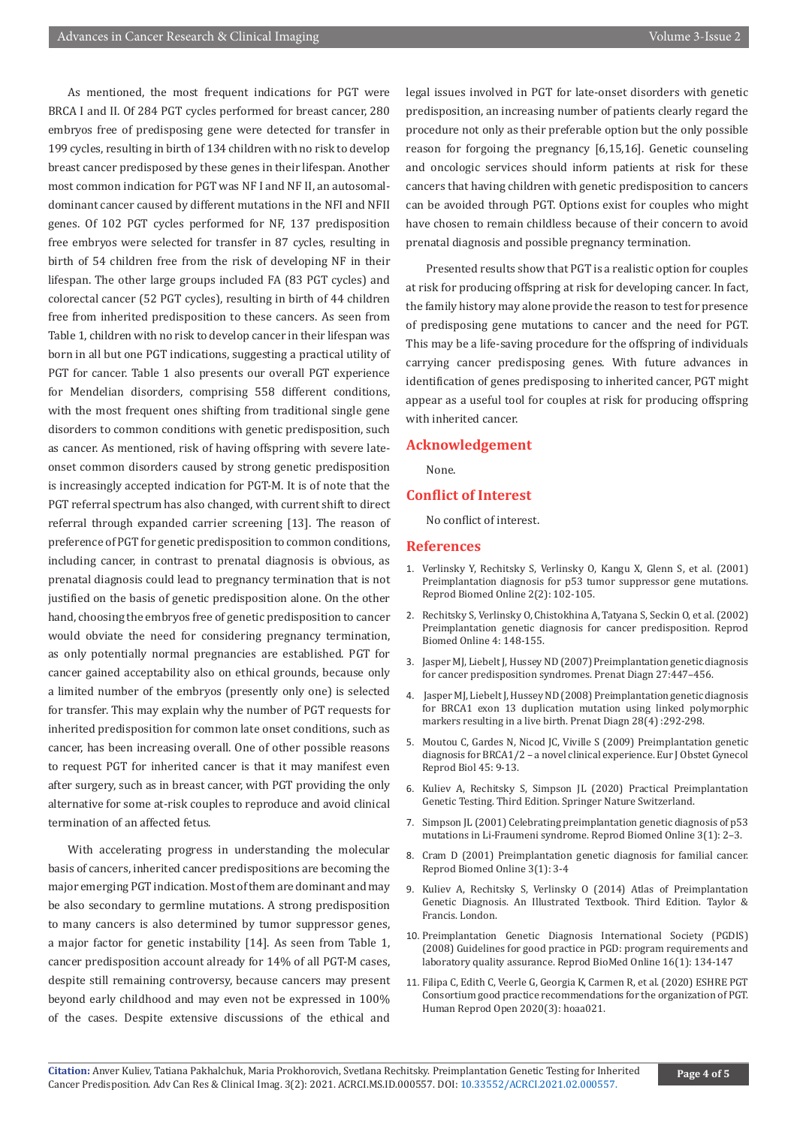As mentioned, the most frequent indications for PGT were BRCA I and II. Of 284 PGT cycles performed for breast cancer, 280 embryos free of predisposing gene were detected for transfer in 199 cycles, resulting in birth of 134 children with no risk to develop breast cancer predisposed by these genes in their lifespan. Another most common indication for PGT was NF I and NF II, an autosomaldominant cancer caused by different mutations in the NFI and NFII genes. Of 102 PGT cycles performed for NF, 137 predisposition free embryos were selected for transfer in 87 cycles, resulting in birth of 54 children free from the risk of developing NF in their lifespan. The other large groups included FA (83 PGT cycles) and colorectal cancer (52 PGT cycles), resulting in birth of 44 children free from inherited predisposition to these cancers. As seen from Table 1, children with no risk to develop cancer in their lifespan was born in all but one PGT indications, suggesting a practical utility of PGT for cancer. Table 1 also presents our overall PGT experience for Mendelian disorders, comprising 558 different conditions, with the most frequent ones shifting from traditional single gene disorders to common conditions with genetic predisposition, such as cancer. As mentioned, risk of having offspring with severe lateonset common disorders caused by strong genetic predisposition is increasingly accepted indication for PGT-M. It is of note that the PGT referral spectrum has also changed, with current shift to direct referral through expanded carrier screening [13]. The reason of preference of PGT for genetic predisposition to common conditions, including cancer, in contrast to prenatal diagnosis is obvious, as prenatal diagnosis could lead to pregnancy termination that is not justified on the basis of genetic predisposition alone. On the other hand, choosing the embryos free of genetic predisposition to cancer would obviate the need for considering pregnancy termination, as only potentially normal pregnancies are established. PGT for cancer gained acceptability also on ethical grounds, because only a limited number of the embryos (presently only one) is selected for transfer. This may explain why the number of PGT requests for inherited predisposition for common late onset conditions, such as cancer, has been increasing overall. One of other possible reasons to request PGT for inherited cancer is that it may manifest even after surgery, such as in breast cancer, with PGT providing the only alternative for some at-risk couples to reproduce and avoid clinical termination of an affected fetus.

With accelerating progress in understanding the molecular basis of cancers, inherited cancer predispositions are becoming the major emerging PGT indication. Most of them are dominant and may be also secondary to germline mutations. A strong predisposition to many cancers is also determined by tumor suppressor genes, a major factor for genetic instability [14]. As seen from Table 1, cancer predisposition account already for 14% of all PGT-M cases, despite still remaining controversy, because cancers may present beyond early childhood and may even not be expressed in 100% of the cases. Despite extensive discussions of the ethical and

legal issues involved in PGT for late-onset disorders with genetic predisposition, an increasing number of patients clearly regard the procedure not only as their preferable option but the only possible reason for forgoing the pregnancy [6,15,16]. Genetic counseling and oncologic services should inform patients at risk for these cancers that having children with genetic predisposition to cancers can be avoided through PGT. Options exist for couples who might have chosen to remain childless because of their concern to avoid prenatal diagnosis and possible pregnancy termination.

Presented results show that PGT is a realistic option for couples at risk for producing offspring at risk for developing cancer. In fact, the family history may alone provide the reason to test for presence of predisposing gene mutations to cancer and the need for PGT. This may be a life-saving procedure for the offspring of individuals carrying cancer predisposing genes. With future advances in identification of genes predisposing to inherited cancer, PGT might appear as a useful tool for couples at risk for producing offspring with inherited cancer.

#### **Acknowledgement**

None.

#### **Conflict of Interest**

No conflict of interest.

#### **References**

- 1. [Verlinsky Y, Rechitsky S, Verlinsky O, Kangu X, Glenn S, et al. \(2001\)](https://pubmed.ncbi.nlm.nih.gov/12537806/) [Preimplantation diagnosis for p53 tumor suppressor gene mutations.](https://pubmed.ncbi.nlm.nih.gov/12537806/) [Reprod Biomed Online 2\(2\): 102-105.](https://pubmed.ncbi.nlm.nih.gov/12537806/)
- 2. [Rechitsky S, Verlinsky O, Chistokhina A, Tatyana S, Seckin O, et al. \(2002\)](https://pubmed.ncbi.nlm.nih.gov/12419039/) [Preimplantation genetic diagnosis for cancer predisposition. Reprod](https://pubmed.ncbi.nlm.nih.gov/12419039/) [Biomed Online 4: 148-155.](https://pubmed.ncbi.nlm.nih.gov/12419039/)
- 3. [Jasper MJ, Liebelt J, Hussey ND \(2007\) Preimplantation genetic diagnosis](https://pubmed.ncbi.nlm.nih.gov/17330926/) [for cancer predisposition syndromes. Prenat Diagn 27:447–456.](https://pubmed.ncbi.nlm.nih.gov/17330926/)
- 4. [Jasper MJ, Liebelt J, Hussey ND \(2008\) Preimplantation genetic diagnosis](https://pubmed.ncbi.nlm.nih.gov/18302307/) [for BRCA1 exon 13 duplication mutation using linked polymorphic](https://pubmed.ncbi.nlm.nih.gov/18302307/) [markers resulting in a live birth. Prenat Diagn 28\(4\) :292-298.](https://pubmed.ncbi.nlm.nih.gov/18302307/)
- 5. Moutou C, Gardes N, Nicod JC, Viville S (2009) Preimplantation genetic diagnosis for BRCA1/2 – a novel clinical experience. Eur J Obstet Gynecol Reprod Biol 45: 9-13.
- 6. Kuliev A, Rechitsky S, Simpson JL (2020) Practical Preimplantation Genetic Testing. Third Edition. Springer Nature Switzerland.
- 7. [Simpson JL \(2001\) Celebrating preimplantation genetic diagnosis of p53](https://pubmed.ncbi.nlm.nih.gov/12513881/) [mutations in Li-Fraumeni syndrome. Reprod Biomed Online 3\(1\): 2–3.](https://pubmed.ncbi.nlm.nih.gov/12513881/)
- 8. [Cram D \(2001\) Preimplantation genetic diagnosis for familial cancer.](https://pubmed.ncbi.nlm.nih.gov/12513882/) [Reprod Biomed Online 3\(1\): 3-4](https://pubmed.ncbi.nlm.nih.gov/12513882/)
- 9. Kuliev A, Rechitsky S, Verlinsky O (2014) Atlas of Preimplantation Genetic Diagnosis. An Illustrated Textbook. Third Edition. Taylor & Francis. London.
- 10. [Preimplantation Genetic Diagnosis International Society \(PGDIS\)](https://pubmed.ncbi.nlm.nih.gov/18252060/) [\(2008\) Guidelines for good practice in PGD: program requirements and](https://pubmed.ncbi.nlm.nih.gov/18252060/) [laboratory quality assurance. Reprod BioMed Online 16\(1\): 134-147](https://pubmed.ncbi.nlm.nih.gov/18252060/)
- 11. [Filipa C, Edith C, Veerle G, Georgia K, Carmen R, et al. \(2020\) ESHRE PGT](https://pubmed.ncbi.nlm.nih.gov/32524036/) [Consortium good practice recommendations for the organization of PGT.](https://pubmed.ncbi.nlm.nih.gov/32524036/) [Human Reprod Open 2020\(3\): hoaa021.](https://pubmed.ncbi.nlm.nih.gov/32524036/)